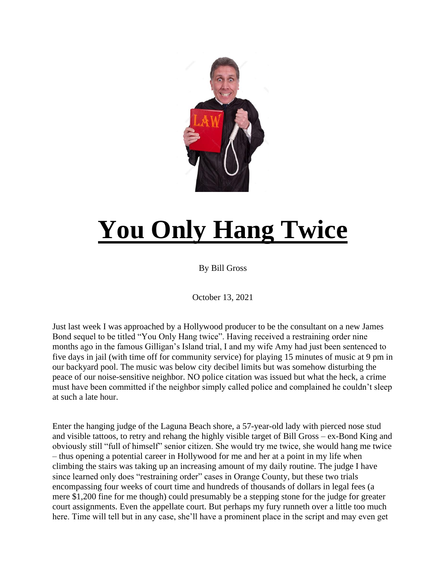

## **You Only Hang Twice**

By Bill Gross

October 13, 2021

Just last week I was approached by a Hollywood producer to be the consultant on a new James Bond sequel to be titled "You Only Hang twice". Having received a restraining order nine months ago in the famous Gilligan's Island trial, I and my wife Amy had just been sentenced to five days in jail (with time off for community service) for playing 15 minutes of music at 9 pm in our backyard pool. The music was below city decibel limits but was somehow disturbing the peace of our noise-sensitive neighbor. NO police citation was issued but what the heck, a crime must have been committed if the neighbor simply called police and complained he couldn't sleep at such a late hour.

Enter the hanging judge of the Laguna Beach shore, a 57-year-old lady with pierced nose stud and visible tattoos, to retry and rehang the highly visible target of Bill Gross – ex-Bond King and obviously still "full of himself" senior citizen. She would try me twice, she would hang me twice – thus opening a potential career in Hollywood for me and her at a point in my life when climbing the stairs was taking up an increasing amount of my daily routine. The judge I have since learned only does "restraining order" cases in Orange County, but these two trials encompassing four weeks of court time and hundreds of thousands of dollars in legal fees (a mere \$1,200 fine for me though) could presumably be a stepping stone for the judge for greater court assignments. Even the appellate court. But perhaps my fury runneth over a little too much here. Time will tell but in any case, she'll have a prominent place in the script and may even get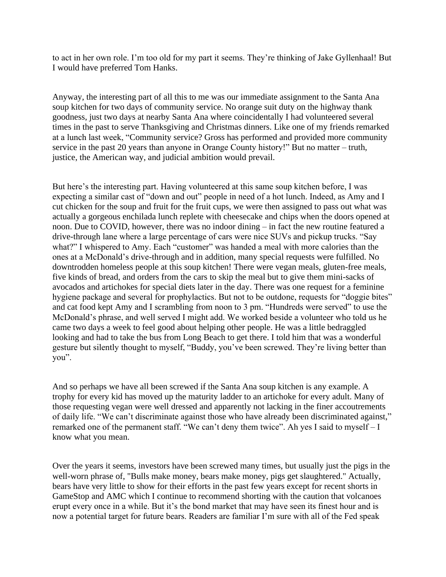to act in her own role. I'm too old for my part it seems. They're thinking of Jake Gyllenhaal! But I would have preferred Tom Hanks.

Anyway, the interesting part of all this to me was our immediate assignment to the Santa Ana soup kitchen for two days of community service. No orange suit duty on the highway thank goodness, just two days at nearby Santa Ana where coincidentally I had volunteered several times in the past to serve Thanksgiving and Christmas dinners. Like one of my friends remarked at a lunch last week, "Community service? Gross has performed and provided more community service in the past 20 years than anyone in Orange County history!" But no matter – truth, justice, the American way, and judicial ambition would prevail.

But here's the interesting part. Having volunteered at this same soup kitchen before, I was expecting a similar cast of "down and out" people in need of a hot lunch. Indeed, as Amy and I cut chicken for the soup and fruit for the fruit cups, we were then assigned to pass out what was actually a gorgeous enchilada lunch replete with cheesecake and chips when the doors opened at noon. Due to COVID, however, there was no indoor dining – in fact the new routine featured a drive-through lane where a large percentage of cars were nice SUVs and pickup trucks. "Say what?" I whispered to Amy. Each "customer" was handed a meal with more calories than the ones at a McDonald's drive-through and in addition, many special requests were fulfilled. No downtrodden homeless people at this soup kitchen! There were vegan meals, gluten-free meals, five kinds of bread, and orders from the cars to skip the meal but to give them mini-sacks of avocados and artichokes for special diets later in the day. There was one request for a feminine hygiene package and several for prophylactics. But not to be outdone, requests for "doggie bites" and cat food kept Amy and I scrambling from noon to 3 pm. "Hundreds were served" to use the McDonald's phrase, and well served I might add. We worked beside a volunteer who told us he came two days a week to feel good about helping other people. He was a little bedraggled looking and had to take the bus from Long Beach to get there. I told him that was a wonderful gesture but silently thought to myself, "Buddy, you've been screwed. They're living better than you".

And so perhaps we have all been screwed if the Santa Ana soup kitchen is any example. A trophy for every kid has moved up the maturity ladder to an artichoke for every adult. Many of those requesting vegan were well dressed and apparently not lacking in the finer accoutrements of daily life. "We can't discriminate against those who have already been discriminated against," remarked one of the permanent staff. "We can't deny them twice". Ah yes I said to myself – I know what you mean.

Over the years it seems, investors have been screwed many times, but usually just the pigs in the well-worn phrase of, "Bulls make money, bears make money, pigs get slaughtered." Actually, bears have very little to show for their efforts in the past few years except for recent shorts in GameStop and AMC which I continue to recommend shorting with the caution that volcanoes erupt every once in a while. But it's the bond market that may have seen its finest hour and is now a potential target for future bears. Readers are familiar I'm sure with all of the Fed speak